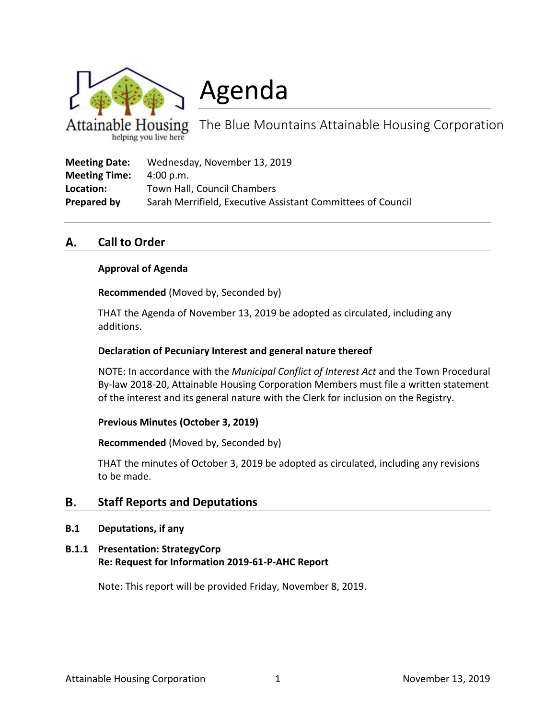

Agenda

 $H$ ousing The Blue Mountains Attainable Housing Corporation helping you live here

| <b>Meeting Date:</b> | Wednesday, November 13, 2019                                |
|----------------------|-------------------------------------------------------------|
| <b>Meeting Time:</b> | 4:00 p.m.                                                   |
| Location:            | Town Hall, Council Chambers                                 |
| Prepared by          | Sarah Merrifield, Executive Assistant Committees of Council |

#### **Call to Order** А.

## **Approval of Agenda**

**Recommended** (Moved by, Seconded by)

THAT the Agenda of November 13, 2019 be adopted as circulated, including any additions.

## **Declaration of Pecuniary Interest and general nature thereof**

NOTE: In accordance with the *Municipal Conflict of Interest Act* and the Town Procedural By-law 2018-20, Attainable Housing Corporation Members must file a written statement of the interest and its general nature with the Clerk for inclusion on the Registry.

#### **Previous Minutes (October 3, 2019)**

**Recommended** (Moved by, Seconded by)

THAT the minutes of October 3, 2019 be adopted as circulated, including any revisions to be made.

#### **B. Staff Reports and Deputations**

**B.1 Deputations, if any**

# **B.1.1 Presentation: StrategyCorp Re: Request for Information 2019-61-P-AHC Report**

Note: This report will be provided Friday, November 8, 2019.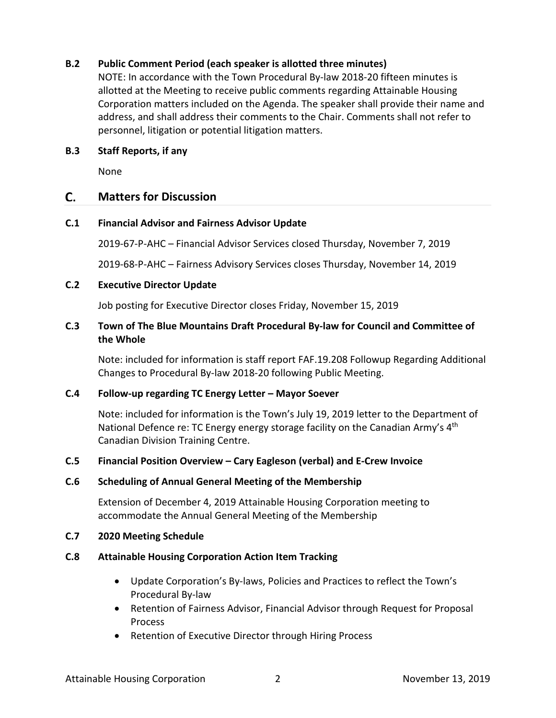# **B.2 Public Comment Period (each speaker is allotted three minutes)**

NOTE: In accordance with the Town Procedural By-law 2018-20 fifteen minutes is allotted at the Meeting to receive public comments regarding Attainable Housing Corporation matters included on the Agenda. The speaker shall provide their name and address, and shall address their comments to the Chair. Comments shall not refer to personnel, litigation or potential litigation matters.

## **B.3 Staff Reports, if any**

None

#### $\mathsf{C}$ . **Matters for Discussion**

## **C.1 Financial Advisor and Fairness Advisor Update**

2019-67-P-AHC – Financial Advisor Services closed Thursday, November 7, 2019

2019-68-P-AHC – Fairness Advisory Services closes Thursday, November 14, 2019

# **C.2 Executive Director Update**

Job posting for Executive Director closes Friday, November 15, 2019

# **C.3 Town of The Blue Mountains Draft Procedural By-law for Council and Committee of the Whole**

Note: included for information is staff report FAF.19.208 Followup Regarding Additional Changes to Procedural By-law 2018-20 following Public Meeting.

## **C.4 Follow-up regarding TC Energy Letter – Mayor Soever**

Note: included for information is the Town's July 19, 2019 letter to the Department of National Defence re: TC Energy energy storage facility on the Canadian Army's 4<sup>th</sup> Canadian Division Training Centre.

## **C.5 Financial Position Overview – Cary Eagleson (verbal) and E-Crew Invoice**

## **C.6 Scheduling of Annual General Meeting of the Membership**

Extension of December 4, 2019 Attainable Housing Corporation meeting to accommodate the Annual General Meeting of the Membership

## **C.7 2020 Meeting Schedule**

## **C.8 Attainable Housing Corporation Action Item Tracking**

- Update Corporation's By-laws, Policies and Practices to reflect the Town's Procedural By-law
- Retention of Fairness Advisor, Financial Advisor through Request for Proposal Process
- Retention of Executive Director through Hiring Process